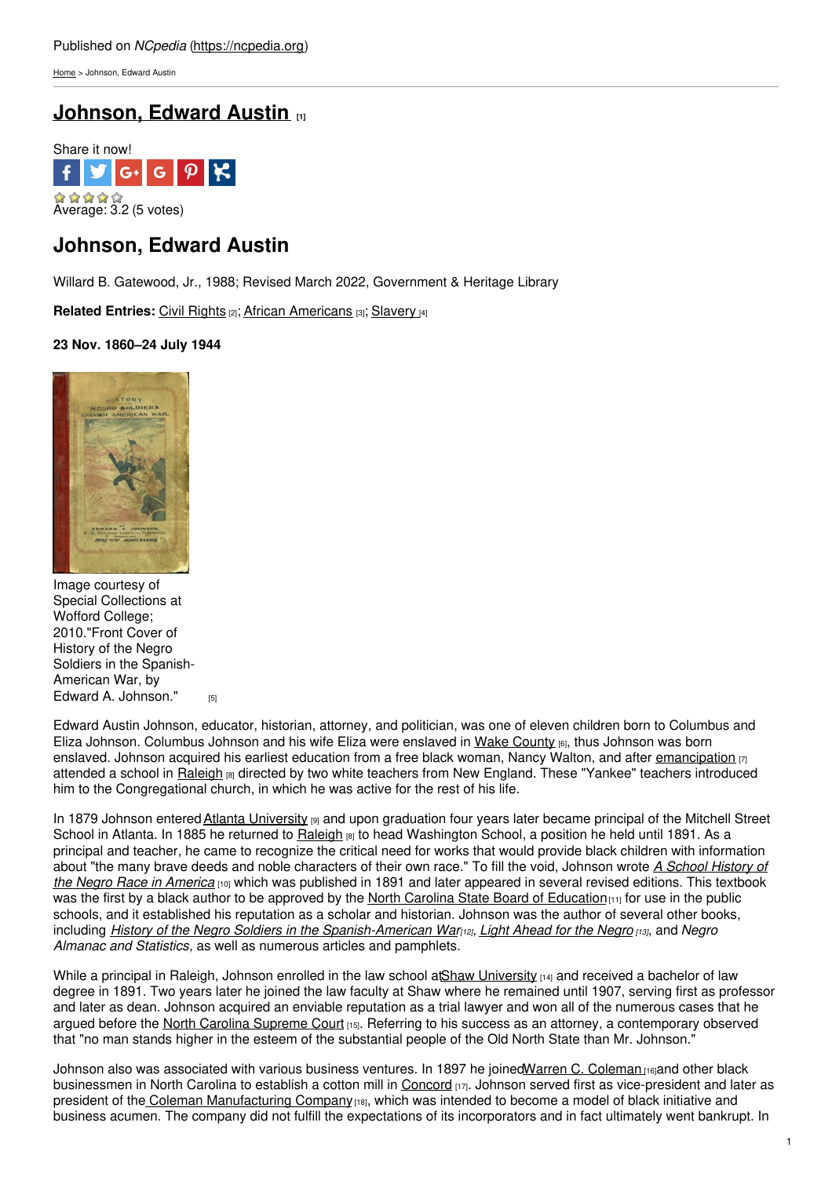[Home](https://ncpedia.org/) > Johnson, Edward Austin

# **[Johnson,](https://ncpedia.org/biography/johnson-edward-austin) Edward Austin [1]**



## **Johnson, Edward Austin**

Willard B. Gatewood, Jr., 1988; Revised March 2022, Government & Heritage Library

**Related Entries:** Civil [Rights](https://ncpedia.org/category/subjects/civil-rights) [2]; African [Americans](https://ncpedia.org/taxonomy/term/26) [3]; [Slavery](https://ncpedia.org/category/subjects/slavery) [4]

### **23 Nov. 1860–24 July 1944**



Image courtesy of Special Collections at Wofford College; 2010."Front Cover of History of the Negro Soldiers in the Spanish-American War, by Edward A. [Johnson."](https://www.flickr.com/photos/littlejohncollection/4323411654/) $_{[5]}$ 

Edward Austin Johnson, educator, historian, attorney, and politician, was one of eleven children born to Columbus and Eliza Johnson. Columbus Johnson and his wife Eliza were enslaved in Wake [County](https://ncpedia.org/geography/wake) [6], thus Johnson was born enslaved. Johnson acquired his earliest education from a free black woman, Nancy Walton, and after [emancipation](https://ncpedia.org/african-americans/emancipation) [7] attended a school in [Raleigh](https://ncpedia.org/geography/raleigh) **80** directed by two white teachers from New England. These "Yankee" teachers introduced him to the Congregational church, in which he was active for the rest of his life.

In 1879 Johnson entered Atlanta [University](http://www.cau.edu/) [9] and upon graduation four years later became principal of the Mitchell Street School in Atlanta. In 1885 he returned to [Raleigh](https://ncpedia.org/geography/raleigh) [8] to head Washington School, a position he held until 1891. As a principal and teacher, he came to recognize the critical need for works that would provide black children with information about "the many brave deeds and noble [characters](https://docsouth.unc.edu/church/johnson/menu.html) of their own race." To fill the void, Johnson wrote *A School History of the Negro Race in America* [10] which was published in 1891 and later appeared in several revised editions. This textbook was the first by a black author to be approved by the North Carolina State Board of [Education](http://www.ncpublicschools.org/stateboard/)  $[11]$  for use in the public schools, and it established his reputation as a scholar and historian. Johnson was the author of several other books, including History of the Negro Soldiers in the [Spanish-American](http://www.gutenberg.org/files/11102/11102-h/11102-h.htm) Warna, Light [Ahead](https://archive.org/details/lightaheadforneg00johnrich) for the Negro [13], and Negro *Almanac and Statistics*, as well as numerous articles and pamphlets.

While a principal in Raleigh, Johnson enrolled in the law school at Shaw [University](https://ncpedia.org/shaw-university) [14] and received a bachelor of law degree in 1891. Two years later he joined the law faculty at Shaw where he remained until 1907, serving first as professor and later as dean. Johnson acquired an enviable reputation as a trial lawyer and won all of the numerous cases that he argued before the North Carolina [Supreme](https://ncpedia.org/supreme-court-north-carolina) Court [15]. Referring to his success as an attorney, a contemporary observed that "no man stands higher in the esteem of the substantial people of the Old North State than Mr. Johnson."

Johnson also was associated with various business ventures. In 1897 he joinedWarren C. [Coleman](https://docsouth.unc.edu/church/hood100/ill46.html)<sub>116</sub> and other black businessmen in North Carolina to establish a cotton mill in [Concord](http://www.concordnc.gov/) [17]. Johnson served first as vice-president and later as president of the Coleman [Manufacturing](http://www.ncgenweb.us/cabarrus/ColemanMfg.htm) Company [18], which was intended to become a model of black initiative and business acumen. The company did not fulfill the expectations of its incorporators and in fact ultimately went bankrupt. In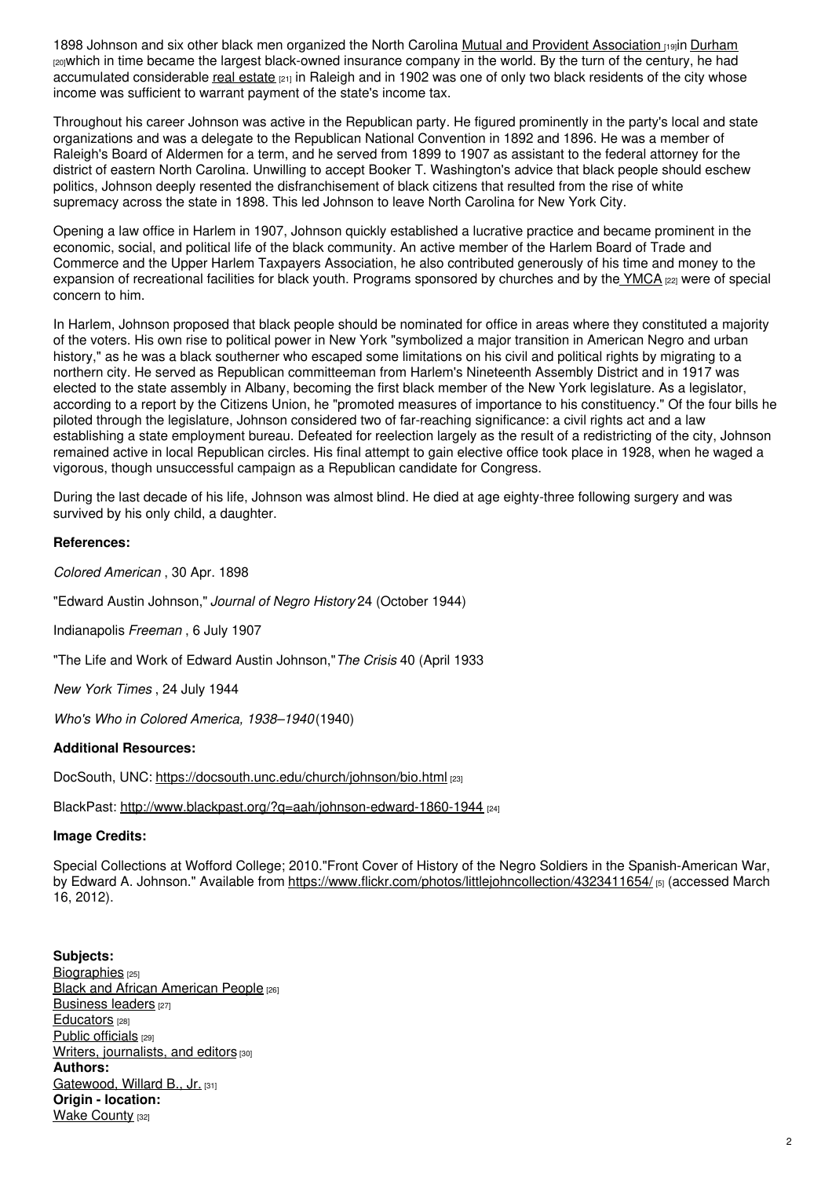1898 Johnson and six other black men organized the North Carolina Mutual and Provident [Association](http://www.northcarolinahistory.org/encyclopedia/220/entry/) [19]in [Durham](https://ncpedia.org/geography/durham) [20]which in time became the largest black-owned insurance company in the world. By the turn of the century, he had accumulated considerable real [estate](https://ncpedia.org/real-estate)  $_{[21]}$  in Raleigh and in 1902 was one of only two black residents of the city whose income was sufficient to warrant payment of the state's income tax.

Throughout his career Johnson was active in the Republican party. He figured prominently in the party's local and state organizations and was a delegate to the Republican National Convention in 1892 and 1896. He was a member of Raleigh's Board of Aldermen for a term, and he served from 1899 to 1907 as assistant to the federal attorney for the district of eastern North Carolina. Unwilling to accept Booker T. Washington's advice that black people should eschew politics, Johnson deeply resented the disfranchisement of black citizens that resulted from the rise of white supremacy across the state in 1898. This led Johnson to leave North Carolina for New York City.

Opening a law office in Harlem in 1907, Johnson quickly established a lucrative practice and became prominent in the economic, social, and political life of the black community. An active member of the Harlem Board of Trade and Commerce and the Upper Harlem Taxpayers Association, he also contributed generously of his time and money to the expansion of recreational facilities for black youth. Programs sponsored by churches and by the  $YMCA$   $_{[22]}$  were of special concern to him.

In Harlem, Johnson proposed that black people should be nominated for office in areas where they constituted a majority of the voters. His own rise to political power in New York "symbolized a major transition in American Negro and urban history," as he was a black southerner who escaped some limitations on his civil and political rights by migrating to a northern city. He served as Republican committeeman from Harlem's Nineteenth Assembly District and in 1917 was elected to the state assembly in Albany, becoming the first black member of the New York legislature. As a legislator, according to a report by the Citizens Union, he "promoted measures of importance to his constituency." Of the four bills he piloted through the legislature, Johnson considered two of far-reaching significance: a civil rights act and a law establishing a state employment bureau. Defeated for reelection largely as the result of a redistricting of the city, Johnson remained active in local Republican circles. His final attempt to gain elective office took place in 1928, when he waged a vigorous, though unsuccessful campaign as a Republican candidate for Congress.

During the last decade of his life, Johnson was almost blind. He died at age eighty-three following surgery and was survived by his only child, a daughter.

### **References:**

*Colored American* , 30 Apr. 1898

"Edward Austin Johnson," *Journal of Negro History* 24 (October 1944)

Indianapolis *Freeman* , 6 July 1907

"The Life and Work of Edward Austin Johnson,"*The Crisis* 40 (April 1933

*New York Times* , 24 July 1944

*Who's Who in Colored America, 1938–1940*(1940)

### **Additional Resources:**

DocSouth, UNC: <https://docsouth.unc.edu/church/johnson/bio.html> [23]

BlackPast: <http://www.blackpast.org/?q=aah/johnson-edward-1860-1944> [24]

### **Image Credits:**

Special Collections at Wofford College; 2010."Front Cover of History of the Negro Soldiers in the Spanish-American War, by Edward A. Johnson." Available from <https://www.flickr.com/photos/littlejohncollection/4323411654/> [5] (accessed March 16, 2012).

**Subjects:** [Biographies](https://ncpedia.org/category/subjects/biography-term) [25] Black and African [American](https://ncpedia.org/category/subjects/african-americans) People [26] [Business](https://ncpedia.org/category/subjects/business-leaders) leaders [27] [Educators](https://ncpedia.org/category/subjects/educators) [28] Public [officials](https://ncpedia.org/category/subjects/public-officials) [29] Writers, [journalists,](https://ncpedia.org/category/subjects/writer) and editors [30] **Authors:** [Gatewood,](https://ncpedia.org/category/authors/gatewood-jr-willar) Willard B., Jr. [31] **Origin - location: Wake [County](https://ncpedia.org/category/origin-location/piedmont/w) [32]**